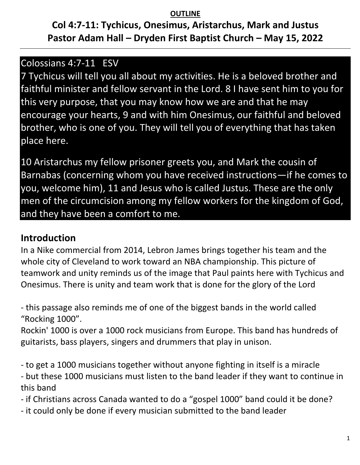#### **OUTLINE**

# **Col 4:7-11: Tychicus, Onesimus, Aristarchus, Mark and Justus Pastor Adam Hall – Dryden First Baptist Church – May 15, 2022**

### Colossians 4:7-11 ESV

7 Tychicus will tell you all about my activities. He is a beloved brother and faithful minister and fellow servant in the Lord. 8 I have sent him to you for this very purpose, that you may know how we are and that he may encourage your hearts, 9 and with him Onesimus, our faithful and beloved brother, who is one of you. They will tell you of everything that has taken place here.

10 Aristarchus my fellow prisoner greets you, and Mark the cousin of Barnabas (concerning whom you have received instructions—if he comes to you, welcome him), 11 and Jesus who is called Justus. These are the only men of the circumcision among my fellow workers for the kingdom of God, and they have been a comfort to me.

## **Introduction**

In a Nike commercial from 2014, Lebron James brings together his team and the whole city of Cleveland to work toward an NBA championship. This picture of teamwork and unity reminds us of the image that Paul paints here with Tychicus and Onesimus. There is unity and team work that is done for the glory of the Lord

- this passage also reminds me of one of the biggest bands in the world called "Rocking 1000".

Rockin' 1000 is over a 1000 rock musicians from Europe. This band has hundreds of guitarists, bass players, singers and drummers that play in unison.

- to get a 1000 musicians together without anyone fighting in itself is a miracle

- but these 1000 musicians must listen to the band leader if they want to continue in this band

- if Christians across Canada wanted to do a "gospel 1000" band could it be done?

- it could only be done if every musician submitted to the band leader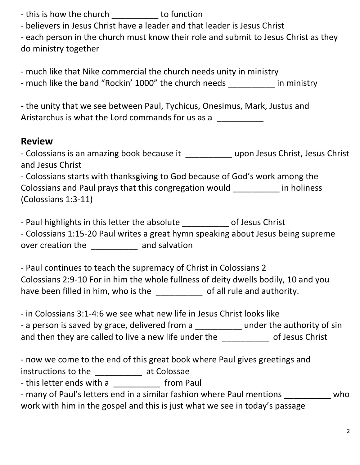- this is how the church \_\_\_\_\_\_\_\_\_ to function

- believers in Jesus Christ have a leader and that leader is Jesus Christ

- each person in the church must know their role and submit to Jesus Christ as they do ministry together

- much like that Nike commercial the church needs unity in ministry

- much like the band "Rockin' 1000" the church needs in ministry

- the unity that we see between Paul, Tychicus, Onesimus, Mark, Justus and Aristarchus is what the Lord commands for us as a

## **Review**

| - Colossians is an amazing book because it | upon Jesus Christ, Jesus Christ |
|--------------------------------------------|---------------------------------|
| and Jesus Christ                           |                                 |

- Colossians starts with thanksgiving to God because of God's work among the Colossians and Paul prays that this congregation would \_\_\_\_\_\_\_\_\_\_ in holiness (Colossians 1:3-11)

- Paul highlights in this letter the absolute **the absolute** of Jesus Christ

- Colossians 1:15-20 Paul writes a great hymn speaking about Jesus being supreme over creation the and salvation

- Paul continues to teach the supremacy of Christ in Colossians 2 Colossians 2:9-10 For in him the whole fullness of deity dwells bodily, 10 and you have been filled in him, who is the end all rule and authority.

- in Colossians 3:1-4:6 we see what new life in Jesus Christ looks like

| - a person is saved by grace, delivered from a        | under the authority of sin |
|-------------------------------------------------------|----------------------------|
| and then they are called to live a new life under the | of Jesus Christ            |

- now we come to the end of this great book where Paul gives greetings and

instructions to the \_\_\_\_\_\_\_\_\_\_ at Colossae

- this letter ends with a \_\_\_\_\_\_\_\_\_\_\_ from Paul

| - many of Paul's letters end in a similar fashion where Paul mentions       | who |
|-----------------------------------------------------------------------------|-----|
| work with him in the gospel and this is just what we see in today's passage |     |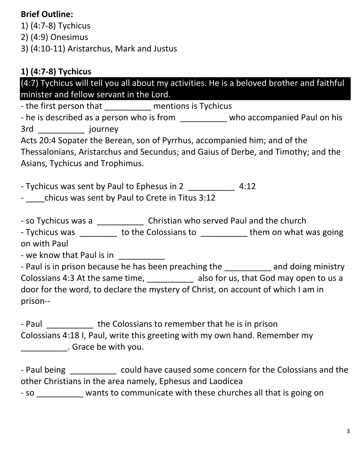### **Brief Outline:**

1) (4:7-8) Tychicus

2) (4:9) Onesimus

3) (4:10-11) Aristarchus, Mark and Justus

## **1) (4:7-8) Tychicus**

(4:7) Tychicus will tell you all about my activities. He is a beloved brother and faithful minister and fellow servant in the Lord.

- the first person that The mentions is Tychicus

- he is described as a person who is from \_\_\_\_\_\_\_\_\_\_\_ who accompanied Paul on his 3rd \_\_\_\_\_\_\_\_\_\_ journey

Acts 20:4 Sopater the Berean, son of Pyrrhus, accompanied him; and of the Thessalonians, Aristarchus and Secundus; and Gaius of Derbe, and Timothy; and the Asians, Tychicus and Trophimus.

- Tychicus was sent by Paul to Ephesus in 2 \_\_\_\_\_\_\_\_\_\_\_\_ 4:12

- chicus was sent by Paul to Crete in Titus 3:12

- so Tychicus was a \_\_\_\_\_\_\_\_\_\_\_\_\_\_ Christian who served Paul and the church

- Tychicus was to the Colossians to the them on what was going on with Paul

- we know that Paul is in

- Paul is in prison because he has been preaching the \_\_\_\_\_\_\_\_\_\_\_ and doing ministry Colossians 4:3 At the same time, \_\_\_\_\_\_\_\_\_\_ also for us, that God may open to us a door for the word, to declare the mystery of Christ, on account of which I am in prison--

- Paul the Colossians to remember that he is in prison Colossians 4:18 I, Paul, write this greeting with my own hand. Remember my \_\_\_\_\_\_\_\_\_\_. Grace be with you.

- Paul being could have caused some concern for the Colossians and the other Christians in the area namely, Ephesus and Laodicea

- so \_\_\_\_\_\_\_\_\_\_ wants to communicate with these churches all that is going on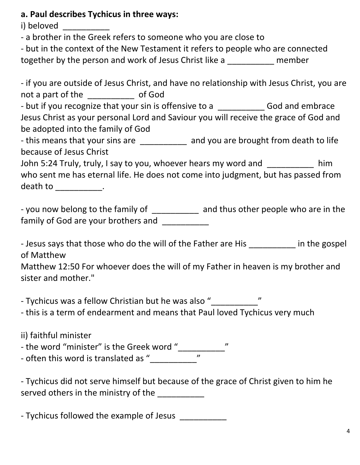#### **a. Paul describes Tychicus in three ways:**

i) beloved

- a brother in the Greek refers to someone who you are close to

- but in the context of the New Testament it refers to people who are connected together by the person and work of Jesus Christ like a Theorem member

- if you are outside of Jesus Christ, and have no relationship with Jesus Christ, you are not a part of the \_\_\_\_\_\_\_\_\_\_ of God - but if you recognize that your sin is offensive to a \_\_\_\_\_\_\_\_\_\_\_\_\_ God and embrace Jesus Christ as your personal Lord and Saviour you will receive the grace of God and be adopted into the family of God - this means that your sins are \_\_\_\_\_\_\_\_\_\_\_ and you are brought from death to life because of Jesus Christ John 5:24 Truly, truly, I say to you, whoever hears my word and \_\_\_\_\_\_\_\_\_\_ him who sent me has eternal life. He does not come into judgment, but has passed from

death to \_\_\_\_\_\_\_\_\_\_\_\_.

- you now belong to the family of and thus other people who are in the family of God are your brothers and

- Jesus says that those who do the will of the Father are His **Figure 1** in the gospel of Matthew

Matthew 12:50 For whoever does the will of my Father in heaven is my brother and sister and mother."

- Tychicus was a fellow Christian but he was also "\_\_\_\_\_\_\_\_\_\_\_\_\_\_\_"

- this is a term of endearment and means that Paul loved Tychicus very much

ii) faithful minister

- the word "minister" is the Greek word "\_\_\_\_\_\_\_\_\_\_"

- often this word is translated as "\_\_\_\_\_\_\_\_\_\_"

- Tychicus did not serve himself but because of the grace of Christ given to him he served others in the ministry of the \_\_\_\_\_\_\_\_\_\_\_\_

- Tychicus followed the example of Jesus \_\_\_\_\_\_\_\_\_\_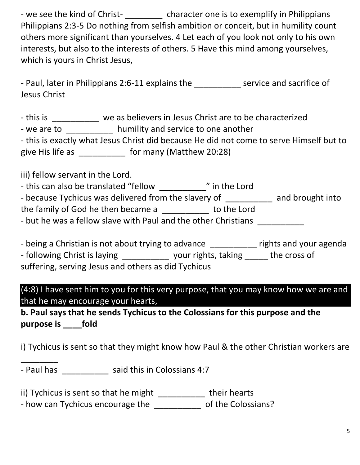- we see the kind of Christ- \_\_\_\_\_\_\_\_\_ character one is to exemplify in Philippians Philippians 2:3-5 Do nothing from selfish ambition or conceit, but in humility count others more significant than yourselves. 4 Let each of you look not only to his own interests, but also to the interests of others. 5 Have this mind among yourselves, which is yours in Christ Jesus,

| - Paul, later in Philippians 2:6-11 explains the | service and sacrifice of |
|--------------------------------------------------|--------------------------|
| Jesus Christ                                     |                          |

- this is we as believers in Jesus Christ are to be characterized

- we are to \_\_\_\_\_\_\_\_\_\_\_ humility and service to one another

- this is exactly what Jesus Christ did because He did not come to serve Himself but to give His life as \_\_\_\_\_\_\_\_\_\_\_\_ for many (Matthew 20:28)

iii) fellow servant in the Lord.

\_\_\_\_\_\_\_\_

| - this can also be translated "fellow" | " in the Lord |
|----------------------------------------|---------------|
|----------------------------------------|---------------|

| - because Tychicus was delivered from the slavery of           |             | and brought into |
|----------------------------------------------------------------|-------------|------------------|
| the family of God he then became a                             | to the Lord |                  |
| - but he was a fellow slave with Paul and the other Christians |             |                  |

| - being a Christian is not about trying to advance  |                     | rights and your agenda |
|-----------------------------------------------------|---------------------|------------------------|
| - following Christ is laying                        | your rights, taking | the cross of           |
| suffering, serving Jesus and others as did Tychicus |                     |                        |

(4:8) I have sent him to you for this very purpose, that you may know how we are and that he may encourage your hearts,

**b. Paul says that he sends Tychicus to the Colossians for this purpose and the purpose is \_\_\_\_fold**

i) Tychicus is sent so that they might know how Paul & the other Christian workers are

- Paul has \_\_\_\_\_\_\_\_\_\_\_\_ said this in Colossians 4:7

ii) Tychicus is sent so that he might \_\_\_\_\_\_\_\_\_\_\_ their hearts

- how can Tychicus encourage the \_\_\_\_\_\_\_\_\_\_\_\_ of the Colossians?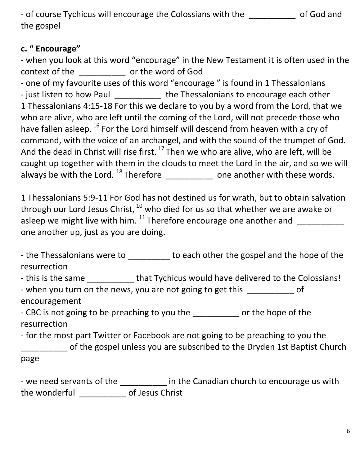- of course Tychicus will encourage the Colossians with the \_\_\_\_\_\_\_\_\_\_ of God and the gospel

### **c. " Encourage"**

- when you look at this word "encourage" in the New Testament it is often used in the context of the \_\_\_\_\_\_\_\_\_\_ or the word of God

- one of my favourite uses of this word "encourage " is found in 1 Thessalonians - just listen to how Paul \_\_\_\_\_\_\_\_\_\_\_ the Thessalonians to encourage each other 1 Thessalonians 4:15-18 For this we declare to you by a word from the Lord, that we who are alive, who are left until the coming of the Lord, will not precede those who have fallen asleep. <sup>16</sup> For the Lord himself will descend from heaven with a cry of command, with the voice of an archangel, and with the sound of the trumpet of God. And the dead in Christ will rise first.  $^{17}$  Then we who are alive, who are left, will be caught up together with them in the clouds to meet the Lord in the air, and so we will always be with the Lord.  $^{18}$  Therefore \_\_\_\_\_\_\_\_\_\_\_\_\_ one another with these words.

1 Thessalonians 5:9-11 For God has not destined us for wrath, but to obtain salvation through our Lord Jesus Christ, <sup>10</sup> who died for us so that whether we are awake or asleep we might live with him.  $^{11}$  Therefore encourage one another and  $\frac{1}{\sqrt{1-\frac{1}{n}}}\left\vert \frac{1}{\sqrt{1-\frac{1}{n}}}\right\vert$ one another up, just as you are doing.

- the Thessalonians were to \_\_\_\_\_\_\_\_\_ to each other the gospel and the hope of the resurrection

- this is the same \_\_\_\_\_\_\_\_\_\_\_ that Tychicus would have delivered to the Colossians!

- when you turn on the news, you are not going to get this \_\_\_\_\_\_\_\_\_\_ of encouragement

- CBC is not going to be preaching to you the electron or the hope of the resurrection

- for the most part Twitter or Facebook are not going to be preaching to you the \_\_\_\_\_\_\_\_\_\_ of the gospel unless you are subscribed to the Dryden 1st Baptist Church page

- we need servants of the \_\_\_\_\_\_\_\_\_\_ in the Canadian church to encourage us with the wonderful \_\_\_\_\_\_\_\_\_\_ of Jesus Christ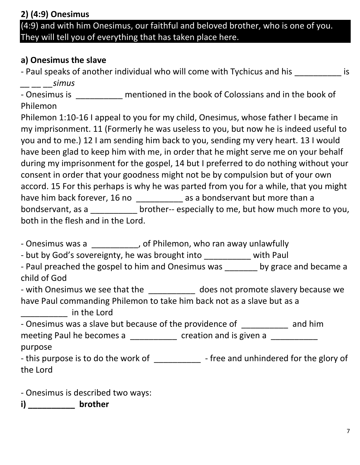**2) (4:9) Onesimus**  (4:9) and with him Onesimus, our faithful and beloved brother, who is one of you. They will tell you of everything that has taken place here.

### **a) Onesimus the slave**

- Paul speaks of another individual who will come with Tychicus and his **Example 2** is *\_\_ \_\_ \_\_simus* 

- Onesimus is \_\_\_\_\_\_\_\_\_\_ mentioned in the book of Colossians and in the book of Philemon

Philemon 1:10-16 I appeal to you for my child, Onesimus, whose father I became in my imprisonment. 11 (Formerly he was useless to you, but now he is indeed useful to you and to me.) 12 I am sending him back to you, sending my very heart. 13 I would have been glad to keep him with me, in order that he might serve me on your behalf during my imprisonment for the gospel, 14 but I preferred to do nothing without your consent in order that your goodness might not be by compulsion but of your own accord. 15 For this perhaps is why he was parted from you for a while, that you might have him back forever, 16 no \_\_\_\_\_\_\_\_\_\_\_\_ as a bondservant but more than a bondservant, as a brother-- especially to me, but how much more to you, both in the flesh and in the Lord.

- Onesimus was a \_\_\_\_\_\_\_\_\_\_, of Philemon, who ran away unlawfully

- but by God's sovereignty, he was brought into \_\_\_\_\_\_\_\_\_\_ with Paul

- Paul preached the gospel to him and Onesimus was \_\_\_\_\_\_\_ by grace and became a child of God

- with Onesimus we see that the does not promote slavery because we have Paul commanding Philemon to take him back not as a slave but as a

\_\_\_\_\_\_\_\_\_\_ in the Lord

- Onesimus was a slave but because of the providence of \_\_\_\_\_\_\_\_\_\_\_ and him meeting Paul he becomes a \_\_\_\_\_\_\_\_\_\_\_ creation and is given a \_\_\_\_\_\_\_\_\_\_ purpose

- this purpose is to do the work of \_\_\_\_\_\_\_\_\_\_\_\_\_ - free and unhindered for the glory of the Lord

- Onesimus is described two ways:

**i) \_\_\_\_\_\_\_\_\_\_ brother**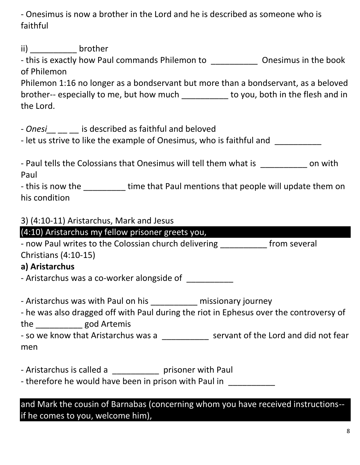- Onesimus is now a brother in the Lord and he is described as someone who is faithful

ii) brother

- this is exactly how Paul commands Philemon to \_\_\_\_\_\_\_\_\_\_\_\_\_\_\_ Onesimus in the book of Philemon

Philemon 1:16 no longer as a bondservant but more than a bondservant, as a beloved brother-- especially to me, but how much \_\_\_\_\_\_\_\_\_\_ to you, both in the flesh and in the Lord.

- Onesi **busines** is described as faithful and beloved

- let us strive to like the example of Onesimus, who is faithful and

| - Paul tells the Colossians that Onesimus will tell them what is | on with |
|------------------------------------------------------------------|---------|
| Paul                                                             |         |

- this is now the \_\_\_\_\_\_\_\_\_\_ time that Paul mentions that people will update them on his condition

#### 3) (4:10-11) Aristarchus, Mark and Jesus

# (4:10) Aristarchus my fellow prisoner greets you, - now Paul writes to the Colossian church delivering \_\_\_\_\_\_\_\_\_\_ from several Christians (4:10-15) **a) Aristarchus** - Aristarchus was a co-worker alongside of \_\_\_\_\_\_\_\_\_\_\_\_ - Aristarchus was with Paul on his \_\_\_\_\_\_\_\_\_\_\_ missionary journey - he was also dragged off with Paul during the riot in Ephesus over the controversy of the \_\_\_\_\_\_\_\_\_\_ god Artemis - so we know that Aristarchus was a \_\_\_\_\_\_\_\_\_\_\_ servant of the Lord and did not fear men

- Aristarchus is called a \_\_\_\_\_\_\_\_\_\_\_ prisoner with Paul

- therefore he would have been in prison with Paul in

and Mark the cousin of Barnabas (concerning whom you have received instructions- if he comes to you, welcome him),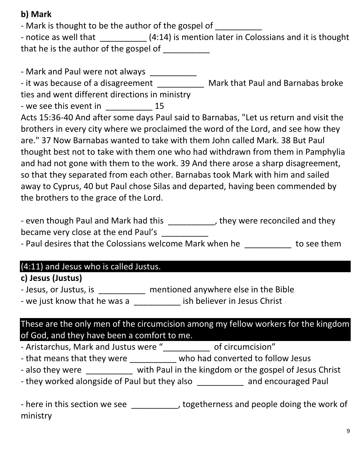### **b) Mark**

- Mark is thought to be the author of the gospel of

- notice as well that  $(4:14)$  is mention later in Colossians and it is thought that he is the author of the gospel of \_\_\_\_\_\_\_\_\_

- Mark and Paul were not always \_\_\_\_\_\_\_\_\_\_\_

- it was because of a disagreement \_\_\_\_\_\_\_\_\_\_\_\_\_ Mark that Paul and Barnabas broke ties and went different directions in ministry

- we see this event in  $15$ 

Acts 15:36-40 And after some days Paul said to Barnabas, "Let us return and visit the brothers in every city where we proclaimed the word of the Lord, and see how they are." 37 Now Barnabas wanted to take with them John called Mark. 38 But Paul thought best not to take with them one who had withdrawn from them in Pamphylia and had not gone with them to the work. 39 And there arose a sharp disagreement, so that they separated from each other. Barnabas took Mark with him and sailed away to Cyprus, 40 but Paul chose Silas and departed, having been commended by the brothers to the grace of the Lord.

- even though Paul and Mark had this \_\_\_\_\_\_\_\_\_\_, they were reconciled and they became very close at the end Paul's \_\_\_\_\_\_\_\_\_\_

- Paul desires that the Colossians welcome Mark when he \_\_\_\_\_\_\_\_\_\_\_ to see them

#### (4:11) and Jesus who is called Justus.

#### **c) Jesus (Justus)**

- Jesus, or Justus, is **Example 20 mentioned anywhere else in the Bible** 

- we just know that he was a \_\_\_\_\_\_\_\_\_\_ ish believer in Jesus Christ

### These are the only men of the circumcision among my fellow workers for the kingdom of God, and they have been a comfort to me.

- Aristarchus, Mark and Justus were "\_\_\_\_\_\_\_\_\_\_ of circumcision"

- that means that they were \_\_\_\_\_\_\_\_\_\_\_ who had converted to follow Jesus

- also they were \_\_\_\_\_\_\_\_\_\_ with Paul in the kingdom or the gospel of Jesus Christ

- they worked alongside of Paul but they also \_\_\_\_\_\_\_\_\_\_\_ and encouraged Paul

- here in this section we see \_\_\_\_\_\_\_\_\_\_, togetherness and people doing the work of ministry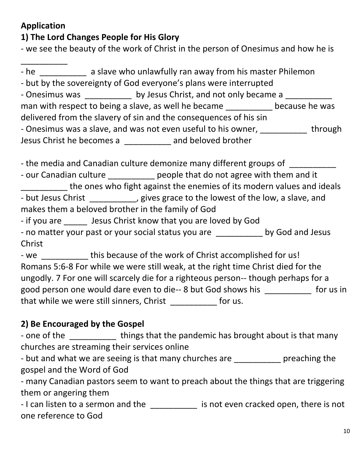### **Application**

\_\_\_\_\_\_\_\_\_\_

### **1) The Lord Changes People for His Glory**

- we see the beauty of the work of Christ in the person of Onesimus and how he is

- he and a slave who unlawfully ran away from his master Philemon - but by the sovereignty of God everyone's plans were interrupted - Onesimus was \_\_\_\_\_\_\_\_\_\_\_\_ by Jesus Christ, and not only became a \_\_\_\_\_\_\_\_\_\_\_\_\_ man with respect to being a slave, as well he became because he was delivered from the slavery of sin and the consequences of his sin - Onesimus was a slave, and was not even useful to his owner, \_\_\_\_\_\_\_\_\_\_\_\_ through Jesus Christ he becomes a \_\_\_\_\_\_\_\_\_\_ and beloved brother

- the media and Canadian culture demonize many different groups of \_\_\_\_\_\_\_\_\_\_\_\_

- our Canadian culture \_\_\_\_\_\_\_\_\_\_\_ people that do not agree with them and it the ones who fight against the enemies of its modern values and ideals - but Jesus Christ \_\_\_\_\_\_\_\_\_, gives grace to the lowest of the low, a slave, and makes them a beloved brother in the family of God

- if you are \_\_\_\_\_ Jesus Christ know that you are loved by God

- no matter your past or your social status you are **the solution by God and Jesus** Christ

- we this because of the work of Christ accomplished for us! Romans 5:6-8 For while we were still weak, at the right time Christ died for the ungodly. 7 For one will scarcely die for a righteous person-- though perhaps for a good person one would dare even to die-- 8 but God shows his \_\_\_\_\_\_\_\_\_\_ for us in that while we were still sinners, Christ \_\_\_\_\_\_\_\_\_\_ for us.

## **2) Be Encouraged by the Gospel**

- one of the **things that the pandemic has brought about is that many** churches are streaming their services online

- but and what we are seeing is that many churches are exacution preaching the gospel and the Word of God

- many Canadian pastors seem to want to preach about the things that are triggering them or angering them

- I can listen to a sermon and the \_\_\_\_\_\_\_\_\_\_\_ is not even cracked open, there is not one reference to God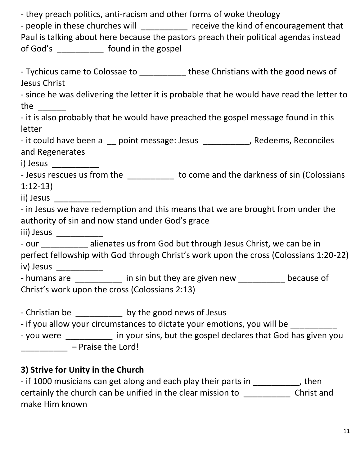- they preach politics, anti-racism and other forms of woke theology

- people in these churches will \_\_\_\_\_\_\_\_\_\_ receive the kind of encouragement that Paul is talking about here because the pastors preach their political agendas instead of God's \_\_\_\_\_\_\_\_\_\_ found in the gospel

- Tychicus came to Colossae to **these Christians with the good news of** Jesus Christ

- since he was delivering the letter it is probable that he would have read the letter to the \_\_\_\_\_\_

- it is also probably that he would have preached the gospel message found in this letter

- it could have been a 
sum point message: Jesus 
sum sum sum sedeems, Reconciles and Regenerates

i) Jesus \_\_\_\_\_\_\_\_\_\_

- Jesus rescues us from the \_\_\_\_\_\_\_\_\_\_\_ to come and the darkness of sin (Colossians 1:12-13)

ii) Jesus \_\_\_\_\_\_\_\_\_\_

- in Jesus we have redemption and this means that we are brought from under the authority of sin and now stand under God's grace

iii) Jesus \_\_\_\_\_\_\_\_\_\_

- our \_\_\_\_\_\_\_\_\_ alienates us from God but through Jesus Christ, we can be in perfect fellowship with God through Christ's work upon the cross (Colossians 1:20-22) iv) Jesus \_\_\_\_\_\_\_\_\_\_

- humans are \_\_\_\_\_\_\_\_\_ in sin but they are given new \_\_\_\_\_\_\_\_\_ because of Christ's work upon the cross (Colossians 2:13)

- Christian be  $\qquad \qquad$  by the good news of Jesus

- if you allow your circumstances to dictate your emotions, you will be

- you were \_\_\_\_\_\_\_\_\_\_ in your sins, but the gospel declares that God has given you \_\_\_\_\_\_\_\_\_\_ – Praise the Lord!

## **3) Strive for Unity in the Church**

- if 1000 musicians can get along and each play their parts in \_\_\_\_\_\_\_\_\_\_, then certainly the church can be unified in the clear mission to \_\_\_\_\_\_\_\_\_\_\_\_\_\_ Christ and make Him known